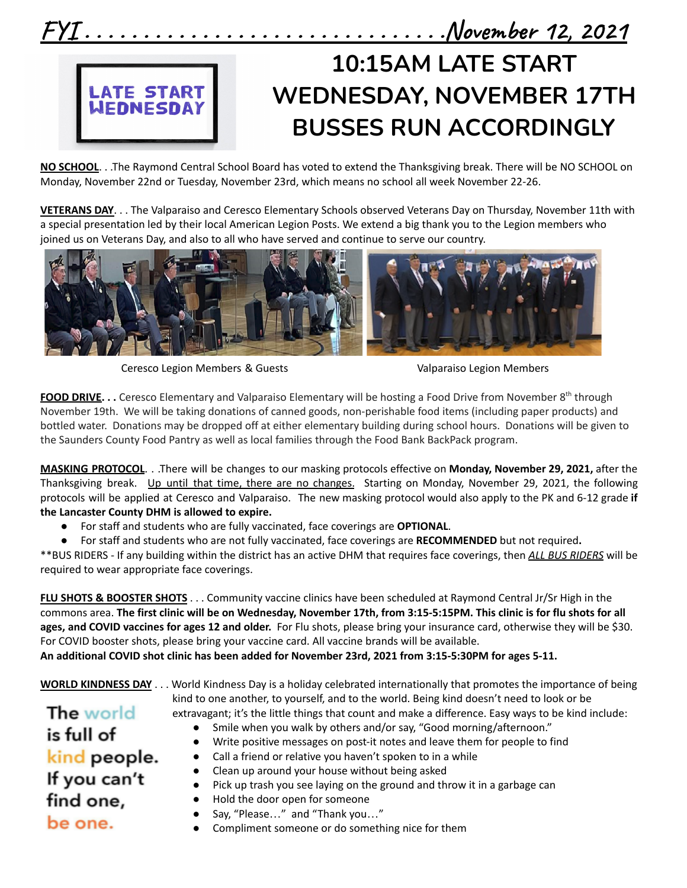

**NO SCHOOL**. . .The Raymond Central School Board has voted to extend the Thanksgiving break. There will be NO SCHOOL on Monday, November 22nd or Tuesday, November 23rd, which means no school all week November 22-26.

**VETERANS DAY**. . . The Valparaiso and Ceresco Elementary Schools observed Veterans Day on Thursday, November 11th with a special presentation led by their local American Legion Posts. We extend a big thank you to the Legion members who joined us on Veterans Day, and also to all who have served and continue to serve our country.



Ceresco Legion Members & Guests Valparaiso Legion Members

**FOOD DRIVE. . .** Ceresco Elementary and Valparaiso Elementary will be hosting a Food Drive from November 8<sup>th</sup> through November 19th. We will be taking donations of canned goods, non-perishable food items (including paper products) and bottled water. Donations may be dropped off at either elementary building during school hours. Donations will be given to the Saunders County Food Pantry as well as local families through the Food Bank BackPack program.

**MASKING PROTOCOL**. . .There will be changes to our masking protocols effective on **Monday, November 29, 2021,** after the Thanksgiving break. Up until that time, there are no changes. Starting on Monday, November 29, 2021, the following protocols will be applied at Ceresco and Valparaiso. The new masking protocol would also apply to the PK and 6-12 grade **if the Lancaster County DHM is allowed to expire.**

- For staff and students who are fully vaccinated, face coverings are **OPTIONAL**.
- For staff and students who are not fully vaccinated, face coverings are **RECOMMENDED** but not required**.**

\*\*BUS RIDERS - If any building within the district has an active DHM that requires face coverings, then *ALL BUS RIDERS* will be required to wear appropriate face coverings.

**FLU SHOTS & BOOSTER SHOTS** . . . Community vaccine clinics have been scheduled at Raymond Central Jr/Sr High in the commons area. **The first clinic will be on Wednesday, November 17th, from 3:15-5:15PM. This clinic is for flu shots for all ages, and COVID vaccines for ages 12 and older.** For Flu shots, please bring your insurance card, otherwise they will be \$30. For COVID booster shots, please bring your vaccine card. All vaccine brands will be available. **An additional COVID shot clinic has been added for November 23rd, 2021 from 3:15-5:30PM for ages 5-11.**

**The world** 

is full of

**WORLD KINDNESS DAY** . . . World Kindness Day is a holiday celebrated internationally that promotes the importance of being kind to one another, to yourself, and to the world. Being kind doesn't need to look or be

extravagant; it's the little things that count and make a difference. Easy ways to be kind include:

- Smile when you walk by others and/or say, "Good morning/afternoon."
- Write positive messages on post-it notes and leave them for people to find

#### kind people. ● Call a friend or relative you haven't spoken to in a while Clean up around your house without being asked

- If you can't find one,
- Pick up trash you see laying on the ground and throw it in a garbage can
- Hold the door open for someone
- Say, "Please..." and "Thank you..."
- be one.
- Compliment someone or do something nice for them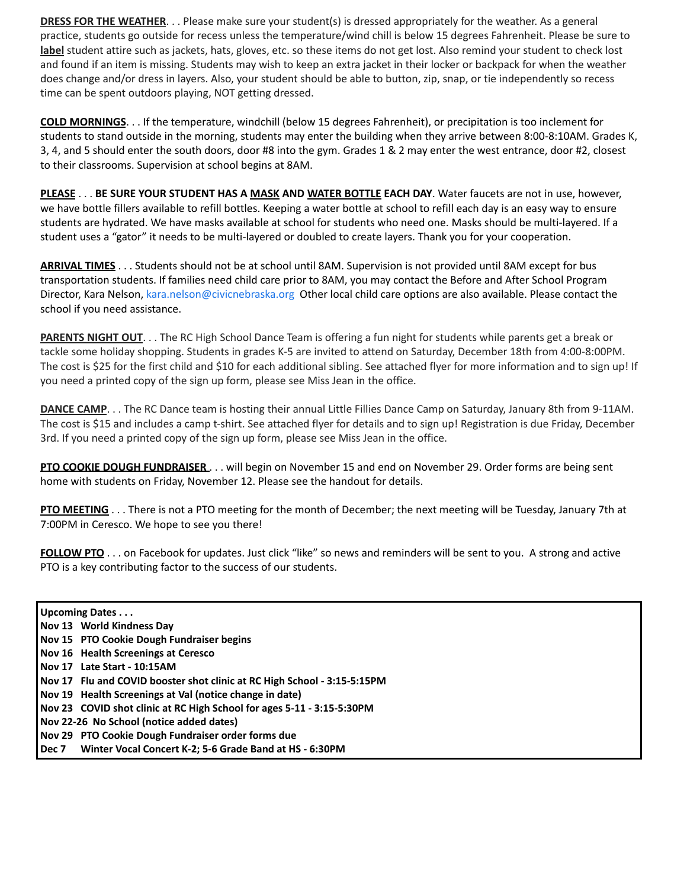**DRESS FOR THE WEATHER**. . . Please make sure your student(s) is dressed appropriately for the weather. As a general practice, students go outside for recess unless the temperature/wind chill is below 15 degrees Fahrenheit. Please be sure to **label** student attire such as jackets, hats, gloves, etc. so these items do not get lost. Also remind your student to check lost and found if an item is missing. Students may wish to keep an extra jacket in their locker or backpack for when the weather does change and/or dress in layers. Also, your student should be able to button, zip, snap, or tie independently so recess time can be spent outdoors playing, NOT getting dressed.

**COLD MORNINGS**. . . If the temperature, windchill (below 15 degrees Fahrenheit), or precipitation is too inclement for students to stand outside in the morning, students may enter the building when they arrive between 8:00-8:10AM. Grades K, 3, 4, and 5 should enter the south doors, door #8 into the gym. Grades 1 & 2 may enter the west entrance, door #2, closest to their classrooms. Supervision at school begins at 8AM.

**PLEASE** . . . **BE SURE YOUR STUDENT HAS A MASK AND WATER BOTTLE EACH DAY**. Water faucets are not in use, however, we have bottle fillers available to refill bottles. Keeping a water bottle at school to refill each day is an easy way to ensure students are hydrated. We have masks available at school for students who need one. Masks should be multi-layered. If a student uses a "gator" it needs to be multi-layered or doubled to create layers. Thank you for your cooperation.

**ARRIVAL TIMES** . . . Students should not be at school until 8AM. Supervision is not provided until 8AM except for bus transportation students. If families need child care prior to 8AM, you may contact the Before and After School Program Director, Kara Nelson, kara.nelson@civicnebraska.org Other local child care options are also available. Please contact the school if you need assistance.

**PARENTS NIGHT OUT**. . . The RC High School Dance Team is offering a fun night for students while parents get a break or tackle some holiday shopping. Students in grades K-5 are invited to attend on Saturday, December 18th from 4:00-8:00PM. The cost is \$25 for the first child and \$10 for each additional sibling. See attached flyer for more information and to sign up! If you need a printed copy of the sign up form, please see Miss Jean in the office.

**DANCE CAMP**. . . The RC Dance team is hosting their annual Little Fillies Dance Camp on Saturday, January 8th from 9-11AM. The cost is \$15 and includes a camp t-shirt. See attached flyer for details and to sign up! Registration is due Friday, December 3rd. If you need a printed copy of the sign up form, please see Miss Jean in the office.

**PTO COOKIE DOUGH FUNDRAISER** . . . will begin on November 15 and end on November 29. Order forms are being sent home with students on Friday, November 12. Please see the handout for details.

**PTO MEETING** . . . There is not a PTO meeting for the month of December; the next meeting will be Tuesday, January 7th at 7:00PM in Ceresco. We hope to see you there!

**FOLLOW PTO** . . . on Facebook for updates. Just click "like" so news and reminders will be sent to you. A strong and active PTO is a key contributing factor to the success of our students.

#### **Upcoming Dates . . .**

- **Nov 13 World Kindness Day**
- **Nov 15 PTO Cookie Dough Fundraiser begins**
- **Nov 16 Health Screenings at Ceresco**
- **Nov 17 Late Start - 10:15AM**
- **Nov 17 Flu and COVID booster shot clinic at RC High School - 3:15-5:15PM**
- **Nov 19 Health Screenings at Val (notice change in date)**
- **Nov 23 COVID shot clinic at RC High School for ages 5-11 - 3:15-5:30PM**
- **Nov 22-26 No School (notice added dates)**
- **Nov 29 PTO Cookie Dough Fundraiser order forms due**
- **Dec 7 Winter Vocal Concert K-2; 5-6 Grade Band at HS - 6:30PM**